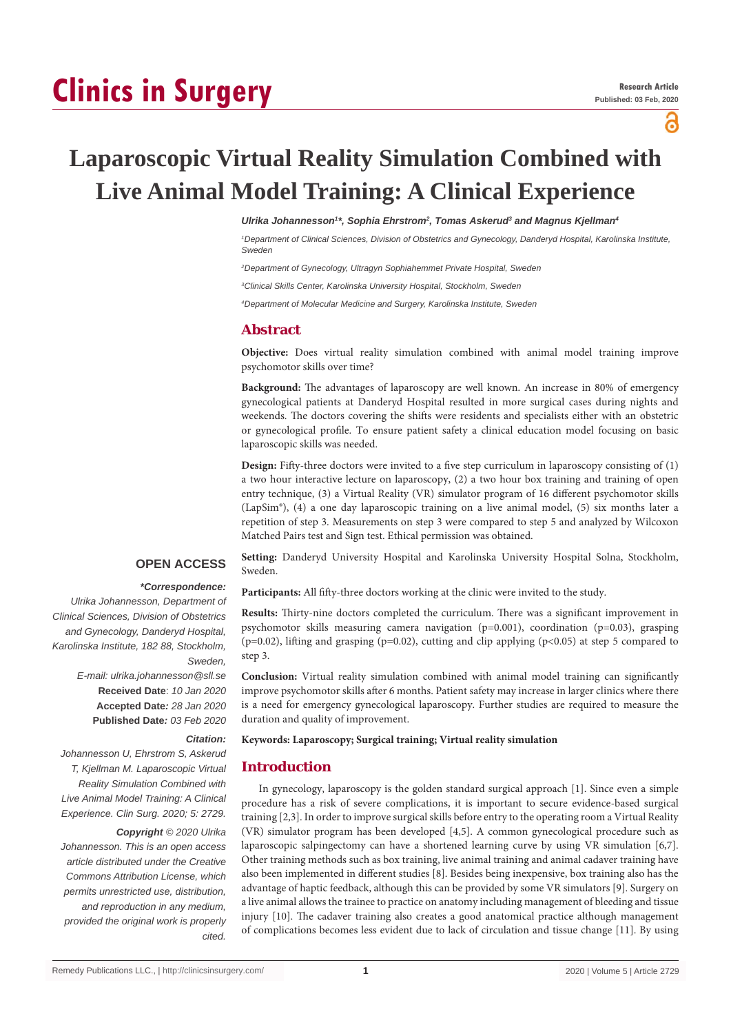# **Clinics in Surgery**

പ്പ

# **Laparoscopic Virtual Reality Simulation Combined with Live Animal Model Training: A Clinical Experience**

#### *Ulrika Johannesson1 \*, Sophia Ehrstrom2 , Tomas Askerud3 and Magnus Kjellman4*

*1 Department of Clinical Sciences, Division of Obstetrics and Gynecology, Danderyd Hospital, Karolinska Institute, Sweden*

*2 Department of Gynecology, Ultragyn Sophiahemmet Private Hospital, Sweden*

*3 Clinical Skills Center, Karolinska University Hospital, Stockholm, Sweden*

*4 Department of Molecular Medicine and Surgery, Karolinska Institute, Sweden*

# **Abstract**

**Objective:** Does virtual reality simulation combined with animal model training improve psychomotor skills over time?

**Background:** The advantages of laparoscopy are well known. An increase in 80% of emergency gynecological patients at Danderyd Hospital resulted in more surgical cases during nights and weekends. The doctors covering the shifts were residents and specialists either with an obstetric or gynecological profile. To ensure patient safety a clinical education model focusing on basic laparoscopic skills was needed.

**Design:** Fifty-three doctors were invited to a five step curriculum in laparoscopy consisting of (1) a two hour interactive lecture on laparoscopy, (2) a two hour box training and training of open entry technique, (3) a Virtual Reality (VR) simulator program of 16 different psychomotor skills (LapSim®), (4) a one day laparoscopic training on a live animal model, (5) six months later a repetition of step 3. Measurements on step 3 were compared to step 5 and analyzed by Wilcoxon Matched Pairs test and Sign test. Ethical permission was obtained.

# **OPEN ACCESS**

#### *\*Correspondence:*

*Ulrika Johannesson, Department of Clinical Sciences, Division of Obstetrics and Gynecology, Danderyd Hospital, Karolinska Institute, 182 88, Stockholm, Sweden, E-mail: ulrika.johannesson@sll.se* **Received Date**: *10 Jan 2020* **Accepted Date***: 28 Jan 2020* **Published Date***: 03 Feb 2020*

*Citation:* 

# *Johannesson U, Ehrstrom S, Askerud T, Kjellman M. Laparoscopic Virtual Reality Simulation Combined with*

*Live Animal Model Training: A Clinical Experience. Clin Surg. 2020; 5: 2729. Copyright © 2020 Ulrika* 

*Johannesson. This is an open access article distributed under the Creative Commons Attribution License, which permits unrestricted use, distribution, and reproduction in any medium, provided the original work is properly cited.*

**Setting:** Danderyd University Hospital and Karolinska University Hospital Solna, Stockholm, Sweden.

**Participants:** All fifty-three doctors working at the clinic were invited to the study.

**Results:** Thirty-nine doctors completed the curriculum. There was a significant improvement in psychomotor skills measuring camera navigation (p=0.001), coordination (p=0.03), grasping (p=0.02), lifting and grasping (p=0.02), cutting and clip applying (p<0.05) at step 5 compared to step 3.

**Conclusion:** Virtual reality simulation combined with animal model training can significantly improve psychomotor skills after 6 months. Patient safety may increase in larger clinics where there is a need for emergency gynecological laparoscopy. Further studies are required to measure the duration and quality of improvement.

#### **Keywords: Laparoscopy; Surgical training; Virtual reality simulation**

# **Introduction**

In gynecology, laparoscopy is the golden standard surgical approach [1]. Since even a simple procedure has a risk of severe complications, it is important to secure evidence-based surgical training [2,3]. In order to improve surgical skills before entry to the operating room a Virtual Reality (VR) simulator program has been developed [4,5]. A common gynecological procedure such as laparoscopic salpingectomy can have a shortened learning curve by using VR simulation [6,7]. Other training methods such as box training, live animal training and animal cadaver training have also been implemented in different studies [8]. Besides being inexpensive, box training also has the advantage of haptic feedback, although this can be provided by some VR simulators [9]. Surgery on a live animal allows the trainee to practice on anatomy including management of bleeding and tissue injury [10]. The cadaver training also creates a good anatomical practice although management of complications becomes less evident due to lack of circulation and tissue change [11]. By using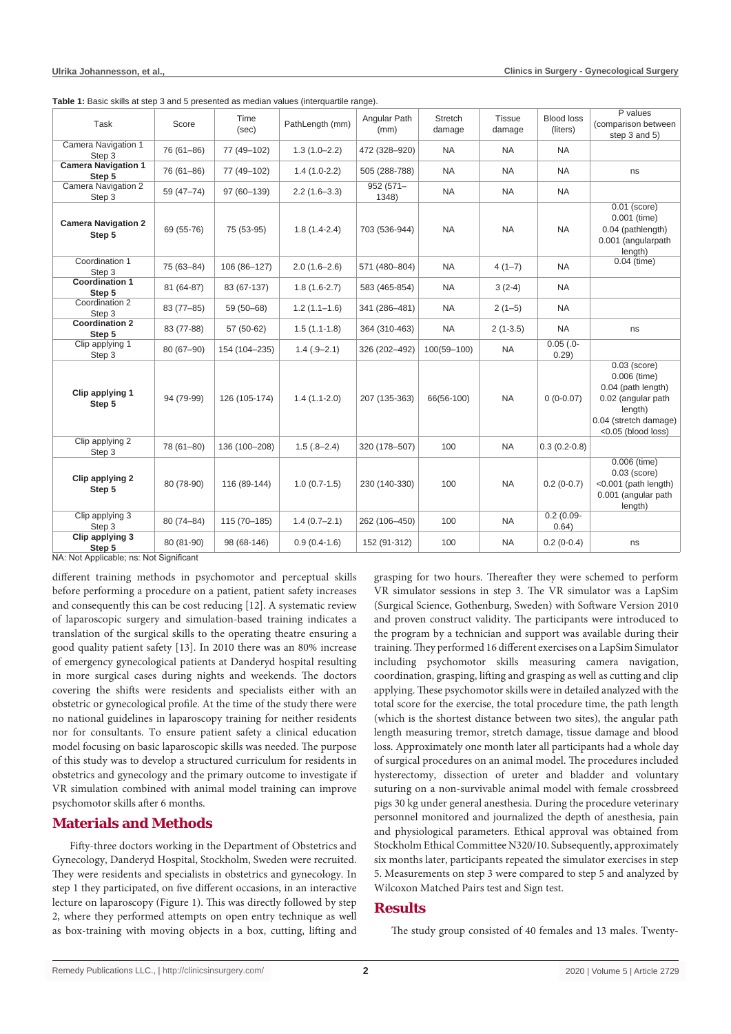| Task                                 | Score         | Time<br>(sec) | PathLength (mm)  | Angular Path<br>(mm) | Stretch<br>damage | <b>Tissue</b><br>damage | <b>Blood loss</b><br>(liters) | P values<br>(comparison between<br>step 3 and 5)                                                                                     |
|--------------------------------------|---------------|---------------|------------------|----------------------|-------------------|-------------------------|-------------------------------|--------------------------------------------------------------------------------------------------------------------------------------|
| Camera Navigation 1<br>Step 3        | 76 (61-86)    | 77 (49-102)   | $1.3(1.0 - 2.2)$ | 472 (328-920)        | <b>NA</b>         | <b>NA</b>               | <b>NA</b>                     |                                                                                                                                      |
| <b>Camera Navigation 1</b><br>Step 5 | 76 (61-86)    | 77 (49-102)   | $1.4(1.0-2.2)$   | 505 (288-788)        | <b>NA</b>         | <b>NA</b>               | <b>NA</b>                     | ns                                                                                                                                   |
| Camera Navigation 2<br>Step 3        | 59 (47-74)    | 97 (60-139)   | $2.2(1.6-3.3)$   | $952(571 -$<br>1348) | <b>NA</b>         | <b>NA</b>               | <b>NA</b>                     |                                                                                                                                      |
| <b>Camera Navigation 2</b><br>Step 5 | 69 (55-76)    | 75 (53-95)    | $1.8(1.4-2.4)$   | 703 (536-944)        | <b>NA</b>         | <b>NA</b>               | <b>NA</b>                     | $0.01$ (score)<br>$0.001$ (time)<br>0.04 (pathlength)<br>0.001 (angularpath<br>length)                                               |
| Coordination 1<br>Step 3             | 75 (63-84)    | 106 (86-127)  | $2.0(1.6-2.6)$   | 571 (480-804)        | <b>NA</b>         | $4(1-7)$                | <b>NA</b>                     | $0.04$ (time)                                                                                                                        |
| <b>Coordination 1</b><br>Step 5      | 81 (64-87)    | 83 (67-137)   | $1.8(1.6-2.7)$   | 583 (465-854)        | <b>NA</b>         | $3(2-4)$                | <b>NA</b>                     |                                                                                                                                      |
| Coordination 2<br>Step 3             | $83(77-85)$   | 59 (50-68)    | $1.2(1.1-1.6)$   | 341 (286-481)        | <b>NA</b>         | $2(1-5)$                | <b>NA</b>                     |                                                                                                                                      |
| <b>Coordination 2</b><br>Step 5      | 83 (77-88)    | 57 (50-62)    | $1.5(1.1-1.8)$   | 364 (310-463)        | <b>NA</b>         | $2(1-3.5)$              | <b>NA</b>                     | ns                                                                                                                                   |
| Clip applying 1<br>Step 3            | $80(67 - 90)$ | 154 (104-235) | $1.4(.9-2.1)$    | 326 (202-492)        | $100(59 - 100)$   | <b>NA</b>               | $0.05$ $(.0 -$<br>0.29)       |                                                                                                                                      |
| Clip applying 1<br>Step 5            | 94 (79-99)    | 126 (105-174) | $1.4(1.1-2.0)$   | 207 (135-363)        | 66(56-100)        | <b>NA</b>               | $0(0-0.07)$                   | $0.03$ (score)<br>0.006 (time)<br>0.04 (path length)<br>0.02 (angular path<br>length)<br>0.04 (stretch damage)<br><0.05 (blood loss) |
| Clip applying 2<br>Step 3            | 78 (61-80)    | 136 (100-208) | $1.5(.8 - 2.4)$  | 320 (178-507)        | 100               | <b>NA</b>               | $0.3(0.2-0.8)$                |                                                                                                                                      |
| Clip applying 2<br>Step 5            | 80 (78-90)    | 116 (89-144)  | $1.0(0.7-1.5)$   | 230 (140-330)        | 100               | <b>NA</b>               | $0.2(0-0.7)$                  | 0.006 (time)<br>$0.03$ (score)<br><0.001 (path length)<br>0.001 (angular path<br>length)                                             |
| Clip applying 3<br>Step 3            | 80 (74-84)    | 115 (70-185)  | $1.4(0.7-2.1)$   | 262 (106-450)        | 100               | <b>NA</b>               | $0.2(0.09 -$<br>0.64)         |                                                                                                                                      |
| Clip applying 3<br>Step 5            | 80 (81-90)    | 98 (68-146)   | $0.9(0.4-1.6)$   | 152 (91-312)         | 100               | <b>NA</b>               | $0.2(0-0.4)$                  | ns                                                                                                                                   |

**Table 1:** Basic skills at step 3 and 5 presented as median values (interquartile range).

NA: Not Applicable; ns: Not Significant

different training methods in psychomotor and perceptual skills before performing a procedure on a patient, patient safety increases and consequently this can be cost reducing [12]. A systematic review of laparoscopic surgery and simulation-based training indicates a translation of the surgical skills to the operating theatre ensuring a good quality patient safety [13]. In 2010 there was an 80% increase of emergency gynecological patients at Danderyd hospital resulting in more surgical cases during nights and weekends. The doctors covering the shifts were residents and specialists either with an obstetric or gynecological profile. At the time of the study there were no national guidelines in laparoscopy training for neither residents nor for consultants. To ensure patient safety a clinical education model focusing on basic laparoscopic skills was needed. The purpose of this study was to develop a structured curriculum for residents in obstetrics and gynecology and the primary outcome to investigate if VR simulation combined with animal model training can improve psychomotor skills after 6 months.

# **Materials and Methods**

Fifty-three doctors working in the Department of Obstetrics and Gynecology, Danderyd Hospital, Stockholm, Sweden were recruited. They were residents and specialists in obstetrics and gynecology. In step 1 they participated, on five different occasions, in an interactive lecture on laparoscopy (Figure 1). This was directly followed by step 2, where they performed attempts on open entry technique as well as box-training with moving objects in a box, cutting, lifting and

grasping for two hours. Thereafter they were schemed to perform VR simulator sessions in step 3. The VR simulator was a LapSim (Surgical Science, Gothenburg, Sweden) with Software Version 2010 and proven construct validity. The participants were introduced to the program by a technician and support was available during their training. They performed 16 different exercises on a LapSim Simulator including psychomotor skills measuring camera navigation, coordination, grasping, lifting and grasping as well as cutting and clip applying. These psychomotor skills were in detailed analyzed with the total score for the exercise, the total procedure time, the path length (which is the shortest distance between two sites), the angular path length measuring tremor, stretch damage, tissue damage and blood loss. Approximately one month later all participants had a whole day of surgical procedures on an animal model. The procedures included hysterectomy, dissection of ureter and bladder and voluntary suturing on a non-survivable animal model with female crossbreed pigs 30 kg under general anesthesia. During the procedure veterinary personnel monitored and journalized the depth of anesthesia, pain and physiological parameters. Ethical approval was obtained from Stockholm Ethical Committee N320/10. Subsequently, approximately six months later, participants repeated the simulator exercises in step 5. Measurements on step 3 were compared to step 5 and analyzed by Wilcoxon Matched Pairs test and Sign test.

# **Results**

The study group consisted of 40 females and 13 males. Twenty-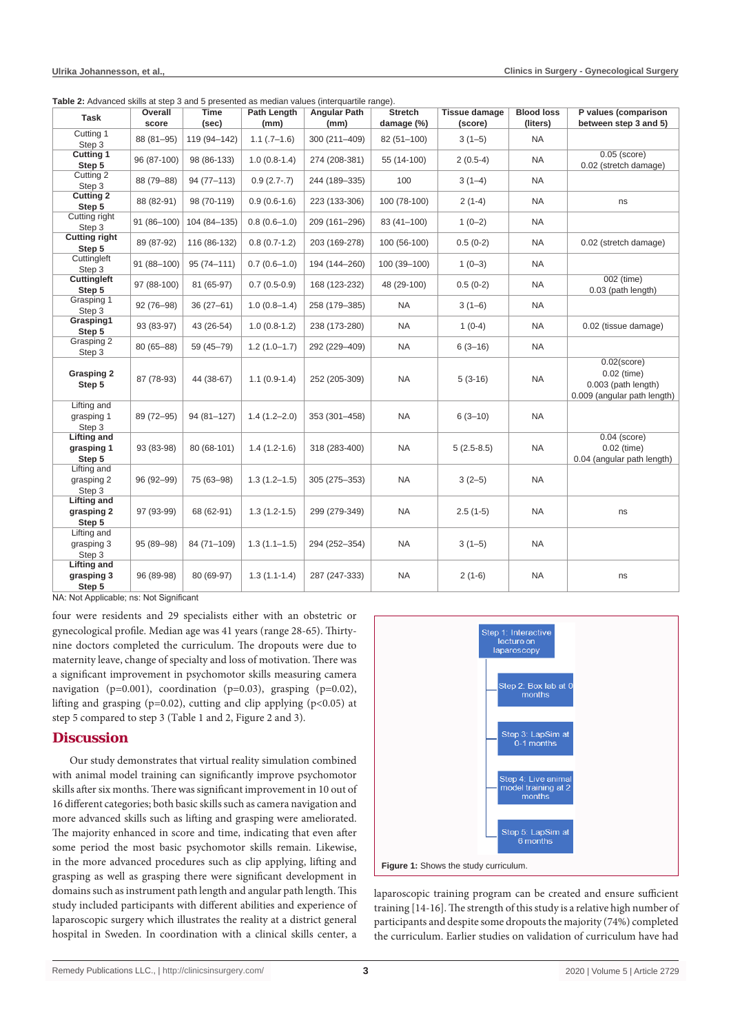| $\frac{1}{2}$ . The contract of the complete $\frac{1}{2}$ of the contract of the contract $\frac{1}{2}$ |                  |                |                     |                             |                              |                                 |                               |                                                                                       |
|----------------------------------------------------------------------------------------------------------|------------------|----------------|---------------------|-----------------------------|------------------------------|---------------------------------|-------------------------------|---------------------------------------------------------------------------------------|
| Task                                                                                                     | Overall<br>score | Time<br>(sec)  | Path Length<br>(mm) | <b>Angular Path</b><br>(mm) | <b>Stretch</b><br>damage (%) | <b>Tissue damage</b><br>(score) | <b>Blood loss</b><br>(liters) | P values (comparison<br>between step 3 and 5)                                         |
| Cutting 1<br>Step 3                                                                                      | 88 (81-95)       | 119 (94-142)   | $1.1$ $(.7-1.6)$    | 300 (211-409)               | 82 (51-100)                  | $3(1-5)$                        | <b>NA</b>                     |                                                                                       |
| <b>Cutting 1</b><br>Step 5                                                                               | 96 (87-100)      | 98 (86-133)    | $1.0(0.8-1.4)$      | 274 (208-381)               | 55 (14-100)                  | $2(0.5-4)$                      | NA                            | $0.05$ (score)<br>0.02 (stretch damage)                                               |
| Cutting 2<br>Step 3                                                                                      | 88 (79-88)       | 94 (77-113)    | $0.9(2.7-.7)$       | 244 (189-335)               | 100                          | $3(1-4)$                        | <b>NA</b>                     |                                                                                       |
| <b>Cutting 2</b><br>Step 5                                                                               | 88 (82-91)       | 98 (70-119)    | $0.9(0.6-1.6)$      | 223 (133-306)               | 100 (78-100)                 | $2(1-4)$                        | NA                            | ns                                                                                    |
| Cutting right<br>Step 3                                                                                  | 91 (86-100)      | 104 (84-135)   | $0.8(0.6-1.0)$      | 209 (161-296)               | 83 (41-100)                  | $1(0-2)$                        | NA                            |                                                                                       |
| <b>Cutting right</b><br>Step 5                                                                           | 89 (87-92)       | 116 (86-132)   | $0.8(0.7-1.2)$      | 203 (169-278)               | 100 (56-100)                 | $0.5(0-2)$                      | NA                            | 0.02 (stretch damage)                                                                 |
| Cuttingleft<br>Step 3                                                                                    | 91 (88-100)      | $95(74 - 111)$ | $0.7(0.6-1.0)$      | 194 (144-260)               | 100 (39-100)                 | $1(0-3)$                        | NA                            |                                                                                       |
| Cuttingleft<br>Step 5                                                                                    | 97 (88-100)      | 81 (65-97)     | $0.7(0.5-0.9)$      | 168 (123-232)               | 48 (29-100)                  | $0.5(0-2)$                      | <b>NA</b>                     | 002 (time)<br>0.03 (path length)                                                      |
| Grasping 1<br>Step 3                                                                                     | $92(76 - 98)$    | $36(27-61)$    | $1.0(0.8-1.4)$      | 258 (179-385)               | <b>NA</b>                    | $3(1-6)$                        | <b>NA</b>                     |                                                                                       |
| Grasping1<br>Step 5                                                                                      | 93 (83-97)       | 43 (26-54)     | $1.0(0.8-1.2)$      | 238 (173-280)               | <b>NA</b>                    | $1(0-4)$                        | NA                            | 0.02 (tissue damage)                                                                  |
| Grasping 2<br>Step 3                                                                                     | 80 (65-88)       | 59 (45-79)     | $1.2(1.0-1.7)$      | 292 (229-409)               | <b>NA</b>                    | $6(3-16)$                       | <b>NA</b>                     |                                                                                       |
| <b>Grasping 2</b><br>Step 5                                                                              | 87 (78-93)       | 44 (38-67)     | $1.1(0.9-1.4)$      | 252 (205-309)               | <b>NA</b>                    | $5(3-16)$                       | <b>NA</b>                     | $0.02$ (score)<br>$0.02$ (time)<br>0.003 (path length)<br>0.009 (angular path length) |
| Lifting and<br>grasping 1<br>Step 3                                                                      | 89 (72-95)       | 94 (81-127)    | $1.4(1.2 - 2.0)$    | 353 (301-458)               | <b>NA</b>                    | $6(3-10)$                       | <b>NA</b>                     |                                                                                       |
| <b>Lifting and</b><br>grasping 1<br>Step 5                                                               | 93 (83-98)       | 80 (68-101)    | $1.4(1.2-1.6)$      | 318 (283-400)               | <b>NA</b>                    | $5(2.5-8.5)$                    | <b>NA</b>                     | $0.04$ (score)<br>0.02 (time)<br>0.04 (angular path length)                           |
| Lifting and<br>grasping 2<br>Step 3                                                                      | 96 (92-99)       | 75 (63-98)     | $1.3(1.2 - 1.5)$    | 305 (275-353)               | <b>NA</b>                    | $3(2-5)$                        | <b>NA</b>                     |                                                                                       |
| <b>Lifting and</b><br>grasping 2<br>Step 5                                                               | 97 (93-99)       | 68 (62-91)     | $1.3(1.2-1.5)$      | 299 (279-349)               | <b>NA</b>                    | $2.5(1-5)$                      | <b>NA</b>                     | ns                                                                                    |
| Lifting and<br>grasping 3<br>Step 3                                                                      | 95 (89-98)       | 84 (71-109)    | $1.3(1.1 - 1.5)$    | 294 (252-354)               | <b>NA</b>                    | $3(1-5)$                        | <b>NA</b>                     |                                                                                       |
| <b>Lifting and</b><br>grasping 3<br>Step 5                                                               | 96 (89-98)       | 80 (69-97)     | $1.3(1.1-1.4)$      | 287 (247-333)               | <b>NA</b>                    | $2(1-6)$                        | <b>NA</b>                     | ns                                                                                    |

**Table 2:** Advanced skills at step 3 and 5 presented as median values (interquartile range).

NA: Not Applicable; ns: Not Significant

four were residents and 29 specialists either with an obstetric or gynecological profile. Median age was 41 years (range 28-65). Thirtynine doctors completed the curriculum. The dropouts were due to maternity leave, change of specialty and loss of motivation. There was a significant improvement in psychomotor skills measuring camera navigation (p=0.001), coordination (p=0.03), grasping (p=0.02), lifting and grasping ( $p=0.02$ ), cutting and clip applying ( $p<0.05$ ) at step 5 compared to step 3 (Table 1 and 2, Figure 2 and 3).

# **Discussion**

Our study demonstrates that virtual reality simulation combined with animal model training can significantly improve psychomotor skills after six months. There was significant improvement in 10 out of 16 different categories; both basic skills such as camera navigation and more advanced skills such as lifting and grasping were ameliorated. The majority enhanced in score and time, indicating that even after some period the most basic psychomotor skills remain. Likewise, in the more advanced procedures such as clip applying, lifting and grasping as well as grasping there were significant development in domains such as instrument path length and angular path length. This study included participants with different abilities and experience of laparoscopic surgery which illustrates the reality at a district general hospital in Sweden. In coordination with a clinical skills center, a



laparoscopic training program can be created and ensure sufficient training [14-16]. The strength of this study is a relative high number of participants and despite some dropouts the majority (74%) completed the curriculum. Earlier studies on validation of curriculum have had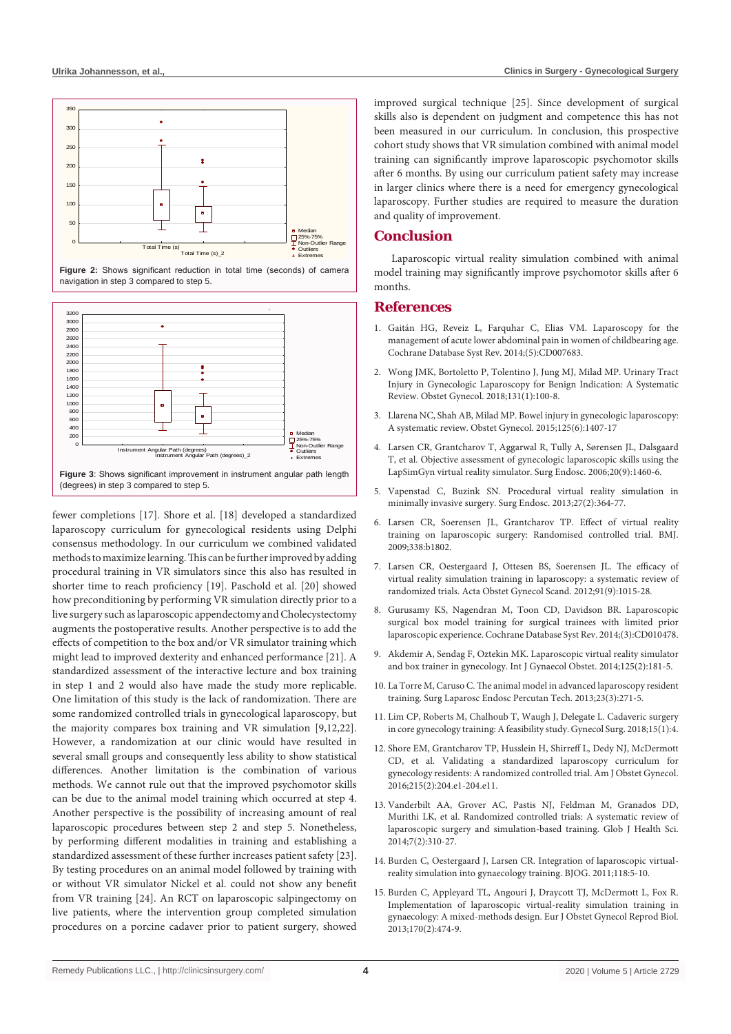

Figure 2: Shows significant reduction in total time (seconds) of camera navigation in step 3 compared to step 5.



fewer completions [17]. Shore et al. [18] developed a standardized laparoscopy curriculum for gynecological residents using Delphi consensus methodology. In our curriculum we combined validated methods to maximize learning. This can be further improved by adding procedural training in VR simulators since this also has resulted in shorter time to reach proficiency [19]. Paschold et al. [20] showed how preconditioning by performing VR simulation directly prior to a live surgery such as laparoscopic appendectomy and Cholecystectomy augments the postoperative results. Another perspective is to add the effects of competition to the box and/or VR simulator training which might lead to improved dexterity and enhanced performance [21]. A standardized assessment of the interactive lecture and box training in step 1 and 2 would also have made the study more replicable. One limitation of this study is the lack of randomization. There are some randomized controlled trials in gynecological laparoscopy, but the majority compares box training and VR simulation [9,12,22]. However, a randomization at our clinic would have resulted in several small groups and consequently less ability to show statistical differences. Another limitation is the combination of various methods. We cannot rule out that the improved psychomotor skills can be due to the animal model training which occurred at step 4. Another perspective is the possibility of increasing amount of real laparoscopic procedures between step 2 and step 5. Nonetheless, by performing different modalities in training and establishing a standardized assessment of these further increases patient safety [23]. By testing procedures on an animal model followed by training with or without VR simulator Nickel et al. could not show any benefit from VR training [24]. An RCT on laparoscopic salpingectomy on live patients, where the intervention group completed simulation procedures on a porcine cadaver prior to patient surgery, showed

improved surgical technique [25]. Since development of surgical skills also is dependent on judgment and competence this has not been measured in our curriculum. In conclusion, this prospective cohort study shows that VR simulation combined with animal model training can significantly improve laparoscopic psychomotor skills after 6 months. By using our curriculum patient safety may increase in larger clinics where there is a need for emergency gynecological laparoscopy. Further studies are required to measure the duration and quality of improvement.

# **Conclusion**

Laparoscopic virtual reality simulation combined with animal model training may significantly improve psychomotor skills after 6 months.

#### **References**

- 1. [Gaitán HG, Reveiz L, Farquhar C, Elias VM. Laparoscopy for the](http://www.ncbi.nlm.nih.gov/pubmed/24848893)  [management of acute lower abdominal pain in women of childbearing age.](http://www.ncbi.nlm.nih.gov/pubmed/24848893)  [Cochrane Database Syst Rev. 2014;\(5\):CD007683.](http://www.ncbi.nlm.nih.gov/pubmed/24848893)
- 2. [Wong JMK, Bortoletto P, Tolentino J, Jung MJ, Milad MP. Urinary Tract](http://www.ncbi.nlm.nih.gov/pubmed/29215524)  [Injury in Gynecologic Laparoscopy for Benign Indication: A Systematic](http://www.ncbi.nlm.nih.gov/pubmed/29215524)  [Review. Obstet Gynecol. 2018;131\(1\):100-8.](http://www.ncbi.nlm.nih.gov/pubmed/29215524)
- 3. [Llarena NC, Shah AB, Milad MP. Bowel injury in gynecologic laparoscopy:](https://www.ncbi.nlm.nih.gov/pubmed/26000512)  [A systematic review. Obstet Gynecol. 2015;125\(6\):1407-17](https://www.ncbi.nlm.nih.gov/pubmed/26000512)
- 4. [Larsen CR, Grantcharov T, Aggarwal R, Tully A, Sørensen JL, Dalsgaard](https://www.ncbi.nlm.nih.gov/pubmed/16823649)  [T, et al. Objective assessment of gynecologic laparoscopic skills using the](https://www.ncbi.nlm.nih.gov/pubmed/16823649)  [LapSimGyn virtual reality simulator. Surg Endosc. 2006;20\(9\):1460-6.](https://www.ncbi.nlm.nih.gov/pubmed/16823649)
- 5. [Vapenstad C, Buzink SN. Procedural virtual reality simulation in](https://www.ncbi.nlm.nih.gov/pubmed/22956001)  [minimally invasive surgery. Surg Endosc. 2013;27\(2\):364-77.](https://www.ncbi.nlm.nih.gov/pubmed/22956001)
- 6. [Larsen CR, Soerensen JL, Grantcharov TP. Effect of virtual reality](https://www.bmj.com/content/338/bmj.b1802)  [training on laparoscopic surgery: Randomised controlled trial. BMJ.](https://www.bmj.com/content/338/bmj.b1802)  [2009;338:b1802.](https://www.bmj.com/content/338/bmj.b1802)
- 7. [Larsen CR, Oestergaard J, Ottesen BS, Soerensen JL. The efficacy of](https://www.ncbi.nlm.nih.gov/pubmed/22693954)  [virtual reality simulation training in laparoscopy: a systematic review of](https://www.ncbi.nlm.nih.gov/pubmed/22693954)  [randomized trials. Acta Obstet Gynecol Scand. 2012;91\(9\):1015-28.](https://www.ncbi.nlm.nih.gov/pubmed/22693954)
- 8. [Gurusamy KS, Nagendran M, Toon CD, Davidson BR. Laparoscopic](http://www.ncbi.nlm.nih.gov/pubmed/24585169)  [surgical box model training for surgical trainees with limited prior](http://www.ncbi.nlm.nih.gov/pubmed/24585169)  [laparoscopic experience. Cochrane Database Syst Rev. 2014;\(3\):CD010478.](http://www.ncbi.nlm.nih.gov/pubmed/24585169)
- 9. [Akdemir A, Sendag F, Oztekin MK. Laparoscopic virtual reality simulator](https://www.ncbi.nlm.nih.gov/pubmed/24576509)  [and box trainer in gynecology. Int J Gynaecol Obstet. 2014;125\(2\):181-5.](https://www.ncbi.nlm.nih.gov/pubmed/24576509)
- 10. [La Torre M, Caruso C. The animal model in advanced laparoscopy resident](https://www.ncbi.nlm.nih.gov/pubmed/23751991)  [training. Surg Laparosc Endosc Percutan Tech. 2013;23\(3\):271-5.](https://www.ncbi.nlm.nih.gov/pubmed/23751991)
- 11. [Lim CP, Roberts M, Chalhoub T, Waugh J, Delegate L. Cadaveric surgery](https://www.ncbi.nlm.nih.gov/pubmed/29386989)  [in core gynecology training: A feasibility study. Gynecol Surg. 2018;15\(1\):4.](https://www.ncbi.nlm.nih.gov/pubmed/29386989)
- 12. [Shore EM, Grantcharov TP, Husslein H, Shirreff L, Dedy NJ, McDermott](https://www.ncbi.nlm.nih.gov/pubmed/27131588)  [CD, et al. Validating a standardized laparoscopy curriculum for](https://www.ncbi.nlm.nih.gov/pubmed/27131588)  [gynecology residents: A randomized controlled trial. Am J Obstet Gynecol.](https://www.ncbi.nlm.nih.gov/pubmed/27131588)  [2016;215\(2\):204.e1-204.e11.](https://www.ncbi.nlm.nih.gov/pubmed/27131588)
- 13. [Vanderbilt AA, Grover AC, Pastis NJ, Feldman M, Granados DD,](https://www.ncbi.nlm.nih.gov/pubmed/25716408)  [Murithi LK, et al. Randomized controlled trials: A systematic review of](https://www.ncbi.nlm.nih.gov/pubmed/25716408)  [laparoscopic surgery and simulation-based training. Glob J Health Sci.](https://www.ncbi.nlm.nih.gov/pubmed/25716408)  [2014;7\(2\):310-27.](https://www.ncbi.nlm.nih.gov/pubmed/25716408)
- 14. [Burden C, Oestergaard J, Larsen CR. Integration of laparoscopic virtual](https://www.ncbi.nlm.nih.gov/pubmed/22039886)[reality simulation into gynaecology training. BJOG. 2011;118:5-10.](https://www.ncbi.nlm.nih.gov/pubmed/22039886)
- 15. [Burden C, Appleyard TL, Angouri J, Draycott TJ, McDermott L, Fox R.](https://www.ncbi.nlm.nih.gov/pubmed/23932183)  [Implementation of laparoscopic virtual-reality simulation training in](https://www.ncbi.nlm.nih.gov/pubmed/23932183)  [gynaecology: A mixed-methods design. Eur J Obstet Gynecol Reprod Biol.](https://www.ncbi.nlm.nih.gov/pubmed/23932183)  [2013;170\(2\):474-9.](https://www.ncbi.nlm.nih.gov/pubmed/23932183)